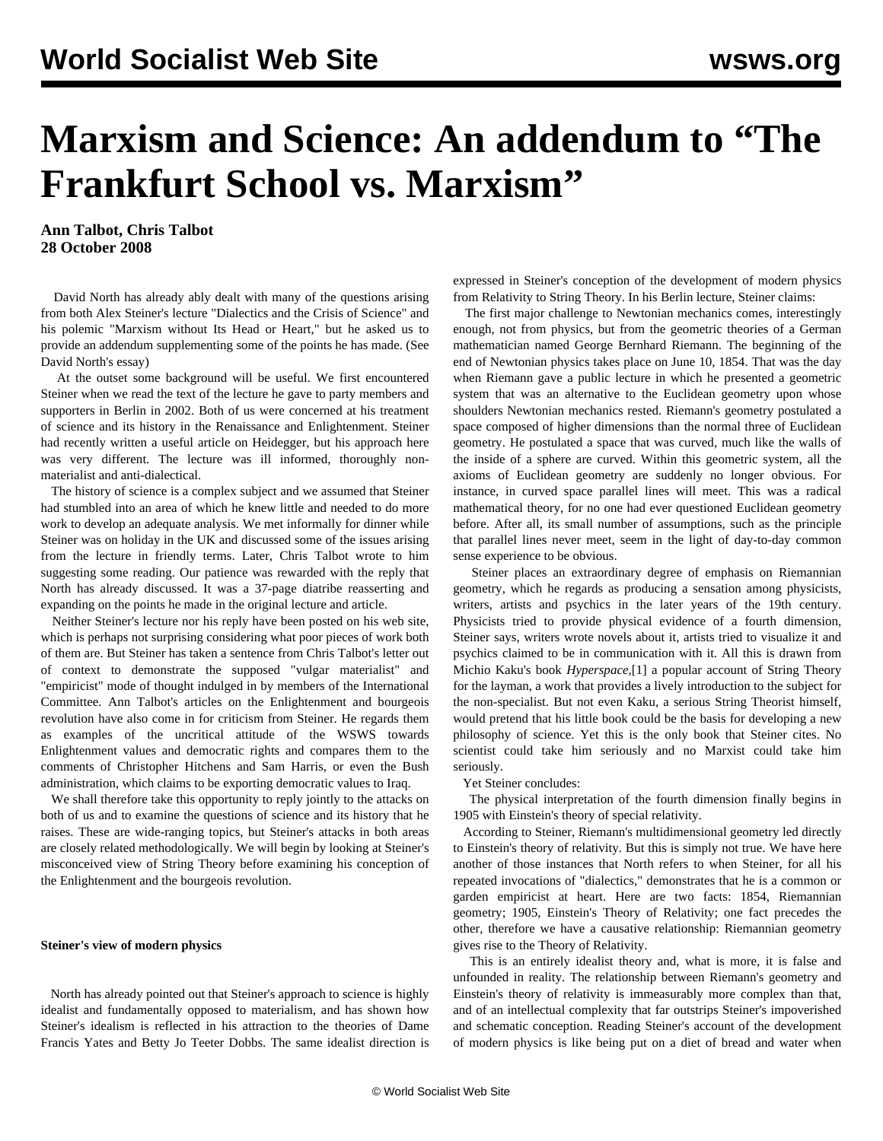# <span id="page-0-0"></span>**Marxism and Science: An addendum to "The Frankfurt School vs. Marxism"**

**Ann Talbot, Chris Talbot 28 October 2008**

 David North has already ably dealt with many of the questions arising from both Alex Steiner's lecture "Dialectics and the Crisis of Science" and his polemic "Marxism without Its Head or Heart," but he asked us to provide an addendum supplementing some of the points he has made. (See [David North's essay](/en/articles/2008/oct2008/fran-o22.shtml))

 At the outset some background will be useful. We first encountered Steiner when we read the text of the lecture he gave to party members and supporters in Berlin in 2002. Both of us were concerned at his treatment of science and its history in the Renaissance and Enlightenment. Steiner had recently written a useful article on Heidegger, but his approach here was very different. The lecture was ill informed, thoroughly nonmaterialist and anti-dialectical.

 The history of science is a complex subject and we assumed that Steiner had stumbled into an area of which he knew little and needed to do more work to develop an adequate analysis. We met informally for dinner while Steiner was on holiday in the UK and discussed some of the issues arising from the lecture in friendly terms. Later, Chris Talbot wrote to him suggesting some reading. Our patience was rewarded with the reply that North has already discussed. It was a 37-page diatribe reasserting and expanding on the points he made in the original lecture and article.

 Neither Steiner's lecture nor his reply have been posted on his web site, which is perhaps not surprising considering what poor pieces of work both of them are. But Steiner has taken a sentence from Chris Talbot's letter out of context to demonstrate the supposed "vulgar materialist" and "empiricist" mode of thought indulged in by members of the International Committee. Ann Talbot's articles on the Enlightenment and bourgeois revolution have also come in for criticism from Steiner. He regards them as examples of the uncritical attitude of the WSWS towards Enlightenment values and democratic rights and compares them to the comments of Christopher Hitchens and Sam Harris, or even the Bush administration, which claims to be exporting democratic values to Iraq.

 We shall therefore take this opportunity to reply jointly to the attacks on both of us and to examine the questions of science and its history that he raises. These are wide-ranging topics, but Steiner's attacks in both areas are closely related methodologically. We will begin by looking at Steiner's misconceived view of String Theory before examining his conception of the Enlightenment and the bourgeois revolution.

### **Steiner's view of modern physics**

 North has already pointed out that Steiner's approach to science is highly idealist and fundamentally opposed to materialism, and has shown how Steiner's idealism is reflected in his attraction to the theories of Dame Francis Yates and Betty Jo Teeter Dobbs. The same idealist direction is

expressed in Steiner's conception of the development of modern physics from Relativity to String Theory. In his Berlin lecture, Steiner claims:

 The first major challenge to Newtonian mechanics comes, interestingly enough, not from physics, but from the geometric theories of a German mathematician named George Bernhard Riemann. The beginning of the end of Newtonian physics takes place on June 10, 1854. That was the day when Riemann gave a public lecture in which he presented a geometric system that was an alternative to the Euclidean geometry upon whose shoulders Newtonian mechanics rested. Riemann's geometry postulated a space composed of higher dimensions than the normal three of Euclidean geometry. He postulated a space that was curved, much like the walls of the inside of a sphere are curved. Within this geometric system, all the axioms of Euclidean geometry are suddenly no longer obvious. For instance, in curved space parallel lines will meet. This was a radical mathematical theory, for no one had ever questioned Euclidean geometry before. After all, its small number of assumptions, such as the principle that parallel lines never meet, seem in the light of day-to-day common sense experience to be obvious.

 Steiner places an extraordinary degree of emphasis on Riemannian geometry, which he regards as producing a sensation among physicists, writers, artists and psychics in the later years of the 19th century. Physicists tried to provide physical evidence of a fourth dimension, Steiner says, writers wrote novels about it, artists tried to visualize it and psychics claimed to be in communication with it. All this is drawn from Michio Kaku's book *Hyperspace*,[\[1\]](#page-0-0) a popular account of String Theory for the layman, a work that provides a lively introduction to the subject for the non-specialist. But not even Kaku, a serious String Theorist himself, would pretend that his little book could be the basis for developing a new philosophy of science. Yet this is the only book that Steiner cites. No scientist could take him seriously and no Marxist could take him seriously.

### Yet Steiner concludes:

 The physical interpretation of the fourth dimension finally begins in 1905 with Einstein's theory of special relativity.

 According to Steiner, Riemann's multidimensional geometry led directly to Einstein's theory of relativity. But this is simply not true. We have here another of those instances that North refers to when Steiner, for all his repeated invocations of "dialectics," demonstrates that he is a common or garden empiricist at heart. Here are two facts: 1854, Riemannian geometry; 1905, Einstein's Theory of Relativity; one fact precedes the other, therefore we have a causative relationship: Riemannian geometry gives rise to the Theory of Relativity.

 This is an entirely idealist theory and, what is more, it is false and unfounded in reality. The relationship between Riemann's geometry and Einstein's theory of relativity is immeasurably more complex than that, and of an intellectual complexity that far outstrips Steiner's impoverished and schematic conception. Reading Steiner's account of the development of modern physics is like being put on a diet of bread and water when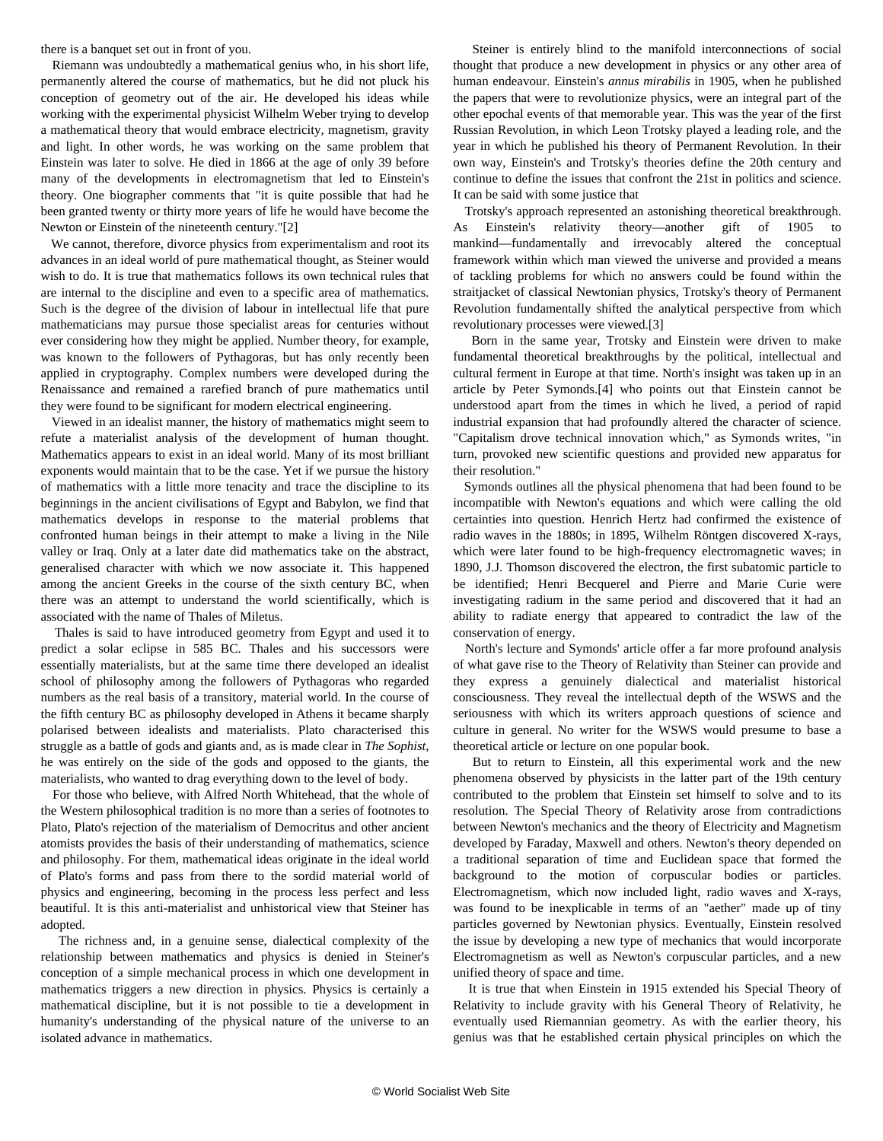<span id="page-1-0"></span>there is a banquet set out in front of you.

 Riemann was undoubtedly a mathematical genius who, in his short life, permanently altered the course of mathematics, but he did not pluck his conception of geometry out of the air. He developed his ideas while working with the experimental physicist Wilhelm Weber trying to develop a mathematical theory that would embrace electricity, magnetism, gravity and light. In other words, he was working on the same problem that Einstein was later to solve. He died in 1866 at the age of only 39 before many of the developments in electromagnetism that led to Einstein's theory. One biographer comments that "it is quite possible that had he been granted twenty or thirty more years of life he would have become the Newton or Einstein of the nineteenth century."[\[2\]](#page-1-0)

 We cannot, therefore, divorce physics from experimentalism and root its advances in an ideal world of pure mathematical thought, as Steiner would wish to do. It is true that mathematics follows its own technical rules that are internal to the discipline and even to a specific area of mathematics. Such is the degree of the division of labour in intellectual life that pure mathematicians may pursue those specialist areas for centuries without ever considering how they might be applied. Number theory, for example, was known to the followers of Pythagoras, but has only recently been applied in cryptography. Complex numbers were developed during the Renaissance and remained a rarefied branch of pure mathematics until they were found to be significant for modern electrical engineering.

 Viewed in an idealist manner, the history of mathematics might seem to refute a materialist analysis of the development of human thought. Mathematics appears to exist in an ideal world. Many of its most brilliant exponents would maintain that to be the case. Yet if we pursue the history of mathematics with a little more tenacity and trace the discipline to its beginnings in the ancient civilisations of Egypt and Babylon, we find that mathematics develops in response to the material problems that confronted human beings in their attempt to make a living in the Nile valley or Iraq. Only at a later date did mathematics take on the abstract, generalised character with which we now associate it. This happened among the ancient Greeks in the course of the sixth century BC, when there was an attempt to understand the world scientifically, which is associated with the name of Thales of Miletus.

 Thales is said to have introduced geometry from Egypt and used it to predict a solar eclipse in 585 BC. Thales and his successors were essentially materialists, but at the same time there developed an idealist school of philosophy among the followers of Pythagoras who regarded numbers as the real basis of a transitory, material world. In the course of the fifth century BC as philosophy developed in Athens it became sharply polarised between idealists and materialists. Plato characterised this struggle as a battle of gods and giants and, as is made clear in *The Sophist*, he was entirely on the side of the gods and opposed to the giants, the materialists, who wanted to drag everything down to the level of body.

 For those who believe, with Alfred North Whitehead, that the whole of the Western philosophical tradition is no more than a series of footnotes to Plato, Plato's rejection of the materialism of Democritus and other ancient atomists provides the basis of their understanding of mathematics, science and philosophy. For them, mathematical ideas originate in the ideal world of Plato's forms and pass from there to the sordid material world of physics and engineering, becoming in the process less perfect and less beautiful. It is this anti-materialist and unhistorical view that Steiner has adopted.

 The richness and, in a genuine sense, dialectical complexity of the relationship between mathematics and physics is denied in Steiner's conception of a simple mechanical process in which one development in mathematics triggers a new direction in physics. Physics is certainly a mathematical discipline, but it is not possible to tie a development in humanity's understanding of the physical nature of the universe to an isolated advance in mathematics.

 Steiner is entirely blind to the manifold interconnections of social thought that produce a new development in physics or any other area of human endeavour. Einstein's *annus mirabilis* in 1905, when he published the papers that were to revolutionize physics, were an integral part of the other epochal events of that memorable year. This was the year of the first Russian Revolution, in which Leon Trotsky played a leading role, and the year in which he published his theory of Permanent Revolution. In their own way, Einstein's and Trotsky's theories define the 20th century and continue to define the issues that confront the 21st in politics and science. It can be said with some justice that

 Trotsky's approach represented an astonishing theoretical breakthrough. Einstein's relativity theory—another gift of 1905 mankind—fundamentally and irrevocably altered the conceptual framework within which man viewed the universe and provided a means of tackling problems for which no answers could be found within the straitjacket of classical Newtonian physics, Trotsky's theory of Permanent Revolution fundamentally shifted the analytical perspective from which revolutionary processes were viewed.[[3](#page-2-0)]

 Born in the same year, Trotsky and Einstein were driven to make fundamental theoretical breakthroughs by the political, intellectual and cultural ferment in Europe at that time. North's insight was taken up in an article by Peter Symonds.[[4](#page-3-0)] who points out that Einstein cannot be understood apart from the times in which he lived, a period of rapid industrial expansion that had profoundly altered the character of science. "Capitalism drove technical innovation which," as Symonds writes, "in turn, provoked new scientific questions and provided new apparatus for their resolution."

 Symonds outlines all the physical phenomena that had been found to be incompatible with Newton's equations and which were calling the old certainties into question. Henrich Hertz had confirmed the existence of radio waves in the 1880s; in 1895, Wilhelm Röntgen discovered X-rays, which were later found to be high-frequency electromagnetic waves; in 1890, J.J. Thomson discovered the electron, the first subatomic particle to be identified; Henri Becquerel and Pierre and Marie Curie were investigating radium in the same period and discovered that it had an ability to radiate energy that appeared to contradict the law of the conservation of energy.

 North's lecture and Symonds' article offer a far more profound analysis of what gave rise to the Theory of Relativity than Steiner can provide and they express a genuinely dialectical and materialist historical consciousness. They reveal the intellectual depth of the WSWS and the seriousness with which its writers approach questions of science and culture in general. No writer for the WSWS would presume to base a theoretical article or lecture on one popular book.

 But to return to Einstein, all this experimental work and the new phenomena observed by physicists in the latter part of the 19th century contributed to the problem that Einstein set himself to solve and to its resolution. The Special Theory of Relativity arose from contradictions between Newton's mechanics and the theory of Electricity and Magnetism developed by Faraday, Maxwell and others. Newton's theory depended on a traditional separation of time and Euclidean space that formed the background to the motion of corpuscular bodies or particles. Electromagnetism, which now included light, radio waves and X-rays, was found to be inexplicable in terms of an "aether" made up of tiny particles governed by Newtonian physics. Eventually, Einstein resolved the issue by developing a new type of mechanics that would incorporate Electromagnetism as well as Newton's corpuscular particles, and a new unified theory of space and time.

 It is true that when Einstein in 1915 extended his Special Theory of Relativity to include gravity with his General Theory of Relativity, he eventually used Riemannian geometry. As with the earlier theory, his genius was that he established certain physical principles on which the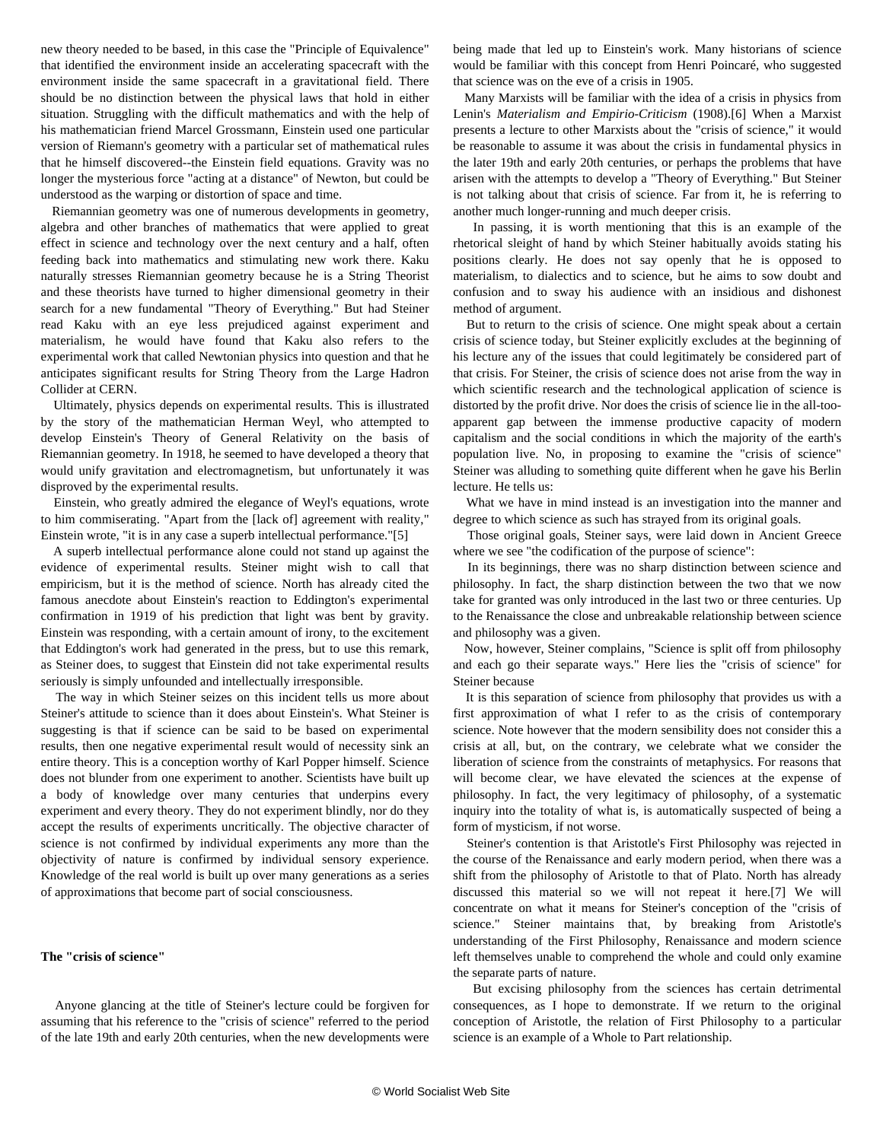<span id="page-2-0"></span>new theory needed to be based, in this case the "Principle of Equivalence" that identified the environment inside an accelerating spacecraft with the environment inside the same spacecraft in a gravitational field. There should be no distinction between the physical laws that hold in either situation. Struggling with the difficult mathematics and with the help of his mathematician friend Marcel Grossmann, Einstein used one particular version of Riemann's geometry with a particular set of mathematical rules that he himself discovered--the Einstein field equations. Gravity was no longer the mysterious force "acting at a distance" of Newton, but could be understood as the warping or distortion of space and time.

 Riemannian geometry was one of numerous developments in geometry, algebra and other branches of mathematics that were applied to great effect in science and technology over the next century and a half, often feeding back into mathematics and stimulating new work there. Kaku naturally stresses Riemannian geometry because he is a String Theorist and these theorists have turned to higher dimensional geometry in their search for a new fundamental "Theory of Everything." But had Steiner read Kaku with an eye less prejudiced against experiment and materialism, he would have found that Kaku also refers to the experimental work that called Newtonian physics into question and that he anticipates significant results for String Theory from the Large Hadron Collider at CERN.

 Ultimately, physics depends on experimental results. This is illustrated by the story of the mathematician Herman Weyl, who attempted to develop Einstein's Theory of General Relativity on the basis of Riemannian geometry. In 1918, he seemed to have developed a theory that would unify gravitation and electromagnetism, but unfortunately it was disproved by the experimental results.

 Einstein, who greatly admired the elegance of Weyl's equations, wrote to him commiserating. "Apart from the [lack of] agreement with reality," Einstein wrote, "it is in any case a superb intellectual performance."[[5](#page-4-0)]

 A superb intellectual performance alone could not stand up against the evidence of experimental results. Steiner might wish to call that empiricism, but it is the method of science. North has already cited the famous anecdote about Einstein's reaction to Eddington's experimental confirmation in 1919 of his prediction that light was bent by gravity. Einstein was responding, with a certain amount of irony, to the excitement that Eddington's work had generated in the press, but to use this remark, as Steiner does, to suggest that Einstein did not take experimental results seriously is simply unfounded and intellectually irresponsible.

 The way in which Steiner seizes on this incident tells us more about Steiner's attitude to science than it does about Einstein's. What Steiner is suggesting is that if science can be said to be based on experimental results, then one negative experimental result would of necessity sink an entire theory. This is a conception worthy of Karl Popper himself. Science does not blunder from one experiment to another. Scientists have built up a body of knowledge over many centuries that underpins every experiment and every theory. They do not experiment blindly, nor do they accept the results of experiments uncritically. The objective character of science is not confirmed by individual experiments any more than the objectivity of nature is confirmed by individual sensory experience. Knowledge of the real world is built up over many generations as a series of approximations that become part of social consciousness.

#### **The "crisis of science"**

 Anyone glancing at the title of Steiner's lecture could be forgiven for assuming that his reference to the "crisis of science" referred to the period of the late 19th and early 20th centuries, when the new developments were being made that led up to Einstein's work. Many historians of science would be familiar with this concept from Henri Poincaré, who suggested that science was on the eve of a crisis in 1905.

 Many Marxists will be familiar with the idea of a crisis in physics from Lenin's *Materialism and Empirio-Criticism* (1908).[\[6\]](#page-5-0) When a Marxist presents a lecture to other Marxists about the "crisis of science," it would be reasonable to assume it was about the crisis in fundamental physics in the later 19th and early 20th centuries, or perhaps the problems that have arisen with the attempts to develop a "Theory of Everything." But Steiner is not talking about that crisis of science. Far from it, he is referring to another much longer-running and much deeper crisis.

 In passing, it is worth mentioning that this is an example of the rhetorical sleight of hand by which Steiner habitually avoids stating his positions clearly. He does not say openly that he is opposed to materialism, to dialectics and to science, but he aims to sow doubt and confusion and to sway his audience with an insidious and dishonest method of argument.

 But to return to the crisis of science. One might speak about a certain crisis of science today, but Steiner explicitly excludes at the beginning of his lecture any of the issues that could legitimately be considered part of that crisis. For Steiner, the crisis of science does not arise from the way in which scientific research and the technological application of science is distorted by the profit drive. Nor does the crisis of science lie in the all-tooapparent gap between the immense productive capacity of modern capitalism and the social conditions in which the majority of the earth's population live. No, in proposing to examine the "crisis of science" Steiner was alluding to something quite different when he gave his Berlin lecture. He tells us:

 What we have in mind instead is an investigation into the manner and degree to which science as such has strayed from its original goals.

 Those original goals, Steiner says, were laid down in Ancient Greece where we see "the codification of the purpose of science":

 In its beginnings, there was no sharp distinction between science and philosophy. In fact, the sharp distinction between the two that we now take for granted was only introduced in the last two or three centuries. Up to the Renaissance the close and unbreakable relationship between science and philosophy was a given.

 Now, however, Steiner complains, "Science is split off from philosophy and each go their separate ways." Here lies the "crisis of science" for Steiner because

 It is this separation of science from philosophy that provides us with a first approximation of what I refer to as the crisis of contemporary science. Note however that the modern sensibility does not consider this a crisis at all, but, on the contrary, we celebrate what we consider the liberation of science from the constraints of metaphysics. For reasons that will become clear, we have elevated the sciences at the expense of philosophy. In fact, the very legitimacy of philosophy, of a systematic inquiry into the totality of what is, is automatically suspected of being a form of mysticism, if not worse.

 Steiner's contention is that Aristotle's First Philosophy was rejected in the course of the Renaissance and early modern period, when there was a shift from the philosophy of Aristotle to that of Plato. North has already discussed this material so we will not repeat it here.[[7](#page-6-0)] We will concentrate on what it means for Steiner's conception of the "crisis of science." Steiner maintains that, by breaking from Aristotle's understanding of the First Philosophy, Renaissance and modern science left themselves unable to comprehend the whole and could only examine the separate parts of nature.

 But excising philosophy from the sciences has certain detrimental consequences, as I hope to demonstrate. If we return to the original conception of Aristotle, the relation of First Philosophy to a particular science is an example of a Whole to Part relationship.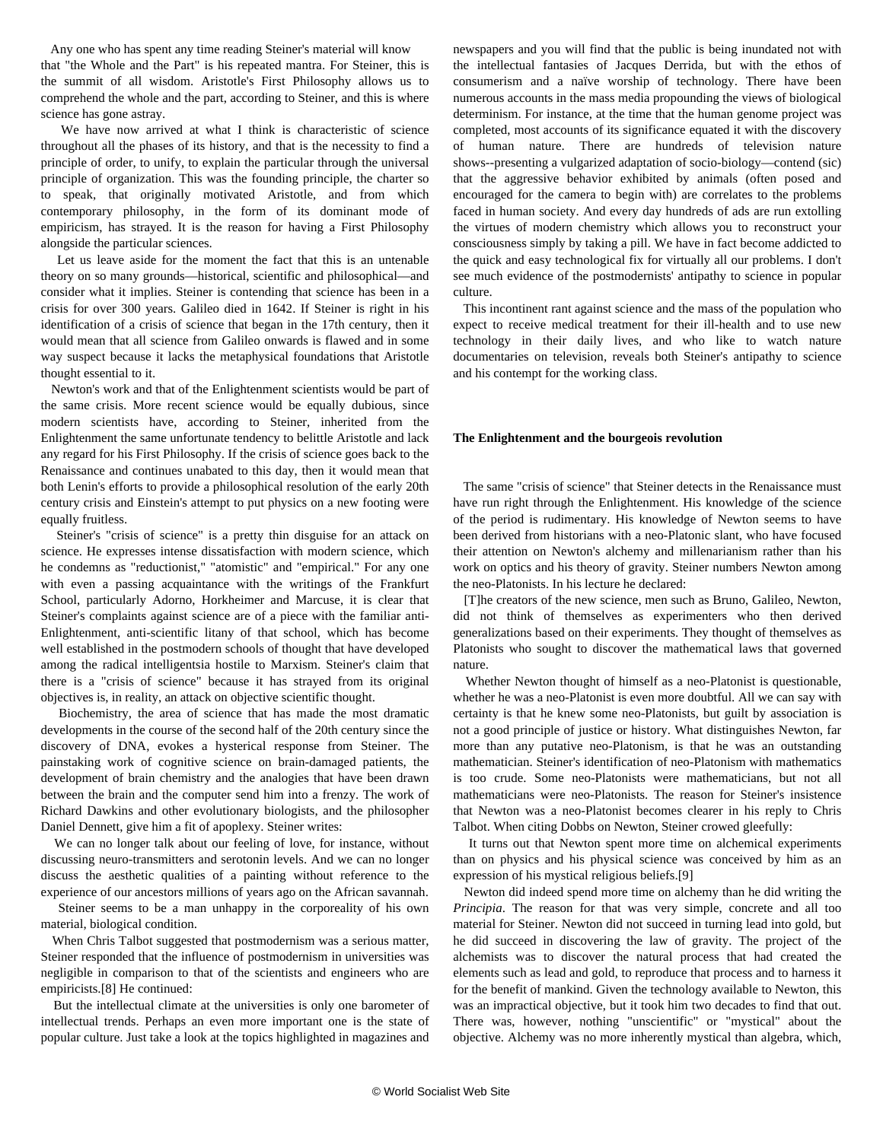<span id="page-3-0"></span> Any one who has spent any time reading Steiner's material will know that "the Whole and the Part" is his repeated mantra. For Steiner, this is the summit of all wisdom. Aristotle's First Philosophy allows us to comprehend the whole and the part, according to Steiner, and this is where science has gone astray.

 We have now arrived at what I think is characteristic of science throughout all the phases of its history, and that is the necessity to find a principle of order, to unify, to explain the particular through the universal principle of organization. This was the founding principle, the charter so to speak, that originally motivated Aristotle, and from which contemporary philosophy, in the form of its dominant mode of empiricism, has strayed. It is the reason for having a First Philosophy alongside the particular sciences.

 Let us leave aside for the moment the fact that this is an untenable theory on so many grounds—historical, scientific and philosophical—and consider what it implies. Steiner is contending that science has been in a crisis for over 300 years. Galileo died in 1642. If Steiner is right in his identification of a crisis of science that began in the 17th century, then it would mean that all science from Galileo onwards is flawed and in some way suspect because it lacks the metaphysical foundations that Aristotle thought essential to it.

 Newton's work and that of the Enlightenment scientists would be part of the same crisis. More recent science would be equally dubious, since modern scientists have, according to Steiner, inherited from the Enlightenment the same unfortunate tendency to belittle Aristotle and lack any regard for his First Philosophy. If the crisis of science goes back to the Renaissance and continues unabated to this day, then it would mean that both Lenin's efforts to provide a philosophical resolution of the early 20th century crisis and Einstein's attempt to put physics on a new footing were equally fruitless.

 Steiner's "crisis of science" is a pretty thin disguise for an attack on science. He expresses intense dissatisfaction with modern science, which he condemns as "reductionist," "atomistic" and "empirical." For any one with even a passing acquaintance with the writings of the Frankfurt School, particularly Adorno, Horkheimer and Marcuse, it is clear that Steiner's complaints against science are of a piece with the familiar anti-Enlightenment, anti-scientific litany of that school, which has become well established in the postmodern schools of thought that have developed among the radical intelligentsia hostile to Marxism. Steiner's claim that there is a "crisis of science" because it has strayed from its original objectives is, in reality, an attack on objective scientific thought.

 Biochemistry, the area of science that has made the most dramatic developments in the course of the second half of the 20th century since the discovery of DNA, evokes a hysterical response from Steiner. The painstaking work of cognitive science on brain-damaged patients, the development of brain chemistry and the analogies that have been drawn between the brain and the computer send him into a frenzy. The work of Richard Dawkins and other evolutionary biologists, and the philosopher Daniel Dennett, give him a fit of apoplexy. Steiner writes:

 We can no longer talk about our feeling of love, for instance, without discussing neuro-transmitters and serotonin levels. And we can no longer discuss the aesthetic qualities of a painting without reference to the experience of our ancestors millions of years ago on the African savannah.

 Steiner seems to be a man unhappy in the corporeality of his own material, biological condition.

 When Chris Talbot suggested that postmodernism was a serious matter, Steiner responded that the influence of postmodernism in universities was negligible in comparison to that of the scientists and engineers who are empiricists.[8] He continued:

 But the intellectual climate at the universities is only one barometer of intellectual trends. Perhaps an even more important one is the state of popular culture. Just take a look at the topics highlighted in magazines and newspapers and you will find that the public is being inundated not with the intellectual fantasies of Jacques Derrida, but with the ethos of consumerism and a naïve worship of technology. There have been numerous accounts in the mass media propounding the views of biological determinism. For instance, at the time that the human genome project was completed, most accounts of its significance equated it with the discovery of human nature. There are hundreds of television nature shows--presenting a vulgarized adaptation of socio-biology—contend (sic) that the aggressive behavior exhibited by animals (often posed and encouraged for the camera to begin with) are correlates to the problems faced in human society. And every day hundreds of ads are run extolling the virtues of modern chemistry which allows you to reconstruct your consciousness simply by taking a pill. We have in fact become addicted to the quick and easy technological fix for virtually all our problems. I don't see much evidence of the postmodernists' antipathy to science in popular culture.

 This incontinent rant against science and the mass of the population who expect to receive medical treatment for their ill-health and to use new technology in their daily lives, and who like to watch nature documentaries on television, reveals both Steiner's antipathy to science and his contempt for the working class.

#### **The Enlightenment and the bourgeois revolution**

 The same "crisis of science" that Steiner detects in the Renaissance must have run right through the Enlightenment. His knowledge of the science of the period is rudimentary. His knowledge of Newton seems to have been derived from historians with a neo-Platonic slant, who have focused their attention on Newton's alchemy and millenarianism rather than his work on optics and his theory of gravity. Steiner numbers Newton among the neo-Platonists. In his lecture he declared:

 [T]he creators of the new science, men such as Bruno, Galileo, Newton, did not think of themselves as experimenters who then derived generalizations based on their experiments. They thought of themselves as Platonists who sought to discover the mathematical laws that governed nature.

 Whether Newton thought of himself as a neo-Platonist is questionable, whether he was a neo-Platonist is even more doubtful. All we can say with certainty is that he knew some neo-Platonists, but guilt by association is not a good principle of justice or history. What distinguishes Newton, far more than any putative neo-Platonism, is that he was an outstanding mathematician. Steiner's identification of neo-Platonism with mathematics is too crude. Some neo-Platonists were mathematicians, but not all mathematicians were neo-Platonists. The reason for Steiner's insistence that Newton was a neo-Platonist becomes clearer in his reply to Chris Talbot. When citing Dobbs on Newton, Steiner crowed gleefully:

 It turns out that Newton spent more time on alchemical experiments than on physics and his physical science was conceived by him as an expression of his mystical religious beliefs.[9]

 Newton did indeed spend more time on alchemy than he did writing the *Principia*. The reason for that was very simple, concrete and all too material for Steiner. Newton did not succeed in turning lead into gold, but he did succeed in discovering the law of gravity. The project of the alchemists was to discover the natural process that had created the elements such as lead and gold, to reproduce that process and to harness it for the benefit of mankind. Given the technology available to Newton, this was an impractical objective, but it took him two decades to find that out. There was, however, nothing "unscientific" or "mystical" about the objective. Alchemy was no more inherently mystical than algebra, which,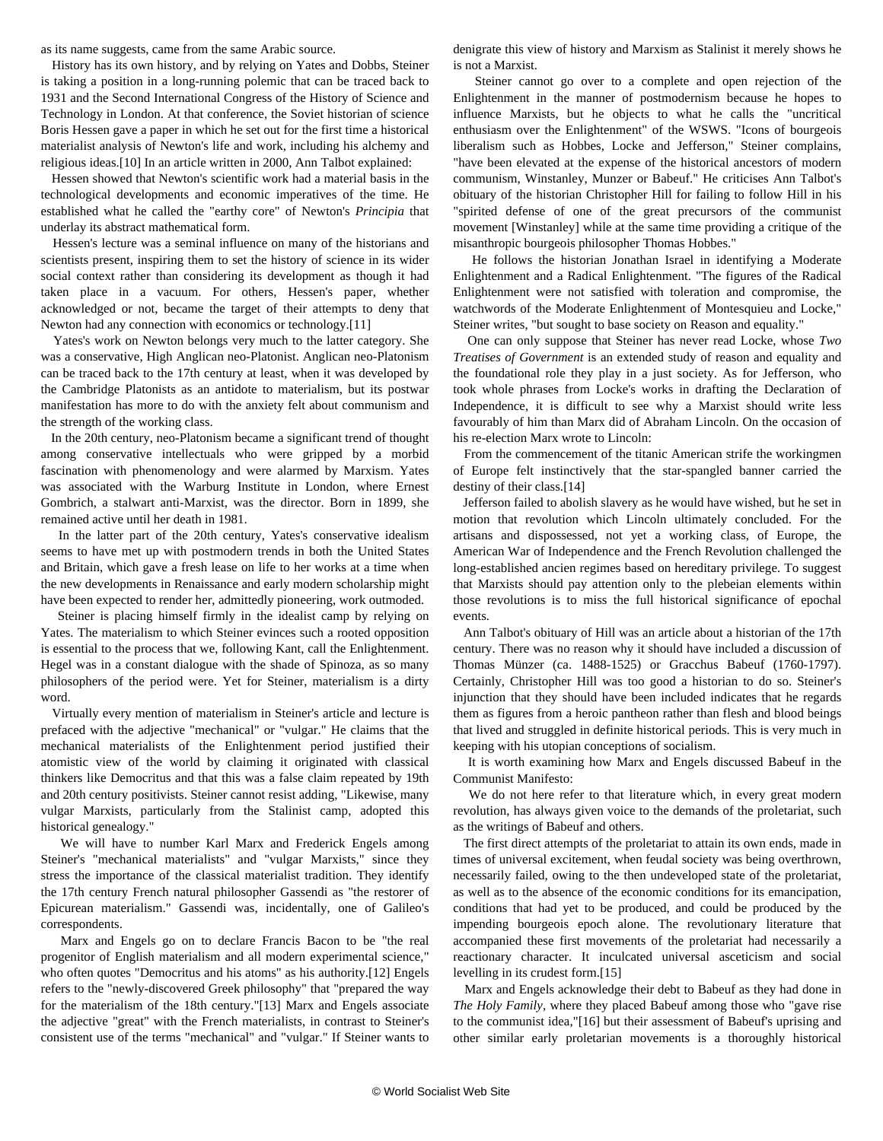<span id="page-4-0"></span>as its name suggests, came from the same Arabic source.

 History has its own history, and by relying on Yates and Dobbs, Steiner is taking a position in a long-running polemic that can be traced back to 1931 and the Second International Congress of the History of Science and Technology in London. At that conference, the Soviet historian of science Boris Hessen gave a paper in which he set out for the first time a historical materialist analysis of Newton's life and work, including his alchemy and religious ideas.[10] In an article written in 2000, Ann Talbot explained:

 Hessen showed that Newton's scientific work had a material basis in the technological developments and economic imperatives of the time. He established what he called the "earthy core" of Newton's *Principia* that underlay its abstract mathematical form.

 Hessen's lecture was a seminal influence on many of the historians and scientists present, inspiring them to set the history of science in its wider social context rather than considering its development as though it had taken place in a vacuum. For others, Hessen's paper, whether acknowledged or not, became the target of their attempts to deny that Newton had any connection with economics or technology.[11]

 Yates's work on Newton belongs very much to the latter category. She was a conservative, High Anglican neo-Platonist. Anglican neo-Platonism can be traced back to the 17th century at least, when it was developed by the Cambridge Platonists as an antidote to materialism, but its postwar manifestation has more to do with the anxiety felt about communism and the strength of the working class.

 In the 20th century, neo-Platonism became a significant trend of thought among conservative intellectuals who were gripped by a morbid fascination with phenomenology and were alarmed by Marxism. Yates was associated with the Warburg Institute in London, where Ernest Gombrich, a stalwart anti-Marxist, was the director. Born in 1899, she remained active until her death in 1981.

 In the latter part of the 20th century, Yates's conservative idealism seems to have met up with postmodern trends in both the United States and Britain, which gave a fresh lease on life to her works at a time when the new developments in Renaissance and early modern scholarship might have been expected to render her, admittedly pioneering, work outmoded.

 Steiner is placing himself firmly in the idealist camp by relying on Yates. The materialism to which Steiner evinces such a rooted opposition is essential to the process that we, following Kant, call the Enlightenment. Hegel was in a constant dialogue with the shade of Spinoza, as so many philosophers of the period were. Yet for Steiner, materialism is a dirty word.

 Virtually every mention of materialism in Steiner's article and lecture is prefaced with the adjective "mechanical" or "vulgar." He claims that the mechanical materialists of the Enlightenment period justified their atomistic view of the world by claiming it originated with classical thinkers like Democritus and that this was a false claim repeated by 19th and 20th century positivists. Steiner cannot resist adding, "Likewise, many vulgar Marxists, particularly from the Stalinist camp, adopted this historical genealogy."

 We will have to number Karl Marx and Frederick Engels among Steiner's "mechanical materialists" and "vulgar Marxists," since they stress the importance of the classical materialist tradition. They identify the 17th century French natural philosopher Gassendi as "the restorer of Epicurean materialism." Gassendi was, incidentally, one of Galileo's correspondents.

 Marx and Engels go on to declare Francis Bacon to be "the real progenitor of English materialism and all modern experimental science," who often quotes "Democritus and his atoms" as his authority.[12] Engels refers to the "newly-discovered Greek philosophy" that "prepared the way for the materialism of the 18th century."[13] Marx and Engels associate the adjective "great" with the French materialists, in contrast to Steiner's consistent use of the terms "mechanical" and "vulgar." If Steiner wants to

denigrate this view of history and Marxism as Stalinist it merely shows he is not a Marxist.

 Steiner cannot go over to a complete and open rejection of the Enlightenment in the manner of postmodernism because he hopes to influence Marxists, but he objects to what he calls the "uncritical enthusiasm over the Enlightenment" of the WSWS. "Icons of bourgeois liberalism such as Hobbes, Locke and Jefferson," Steiner complains, "have been elevated at the expense of the historical ancestors of modern communism, Winstanley, Munzer or Babeuf." He criticises Ann Talbot's obituary of the historian Christopher Hill for failing to follow Hill in his "spirited defense of one of the great precursors of the communist movement [Winstanley] while at the same time providing a critique of the misanthropic bourgeois philosopher Thomas Hobbes."

 He follows the historian Jonathan Israel in identifying a Moderate Enlightenment and a Radical Enlightenment. "The figures of the Radical Enlightenment were not satisfied with toleration and compromise, the watchwords of the Moderate Enlightenment of Montesquieu and Locke," Steiner writes, "but sought to base society on Reason and equality."

 One can only suppose that Steiner has never read Locke, whose *Two Treatises of Government* is an extended study of reason and equality and the foundational role they play in a just society. As for Jefferson, who took whole phrases from Locke's works in drafting the Declaration of Independence, it is difficult to see why a Marxist should write less favourably of him than Marx did of Abraham Lincoln. On the occasion of his re-election Marx wrote to Lincoln:

 From the commencement of the titanic American strife the workingmen of Europe felt instinctively that the star-spangled banner carried the destiny of their class.[14]

 Jefferson failed to abolish slavery as he would have wished, but he set in motion that revolution which Lincoln ultimately concluded. For the artisans and dispossessed, not yet a working class, of Europe, the American War of Independence and the French Revolution challenged the long-established ancien regimes based on hereditary privilege. To suggest that Marxists should pay attention only to the plebeian elements within those revolutions is to miss the full historical significance of epochal events.

 Ann Talbot's obituary of Hill was an article about a historian of the 17th century. There was no reason why it should have included a discussion of Thomas Münzer (ca. 1488-1525) or Gracchus Babeuf (1760-1797). Certainly, Christopher Hill was too good a historian to do so. Steiner's injunction that they should have been included indicates that he regards them as figures from a heroic pantheon rather than flesh and blood beings that lived and struggled in definite historical periods. This is very much in keeping with his utopian conceptions of socialism.

 It is worth examining how Marx and Engels discussed Babeuf in the Communist Manifesto:

 We do not here refer to that literature which, in every great modern revolution, has always given voice to the demands of the proletariat, such as the writings of Babeuf and others.

 The first direct attempts of the proletariat to attain its own ends, made in times of universal excitement, when feudal society was being overthrown, necessarily failed, owing to the then undeveloped state of the proletariat, as well as to the absence of the economic conditions for its emancipation, conditions that had yet to be produced, and could be produced by the impending bourgeois epoch alone. The revolutionary literature that accompanied these first movements of the proletariat had necessarily a reactionary character. It inculcated universal asceticism and social levelling in its crudest form.[15]

 Marx and Engels acknowledge their debt to Babeuf as they had done in *The Holy Family*, where they placed Babeuf among those who "gave rise to the communist idea,"[16] but their assessment of Babeuf's uprising and other similar early proletarian movements is a thoroughly historical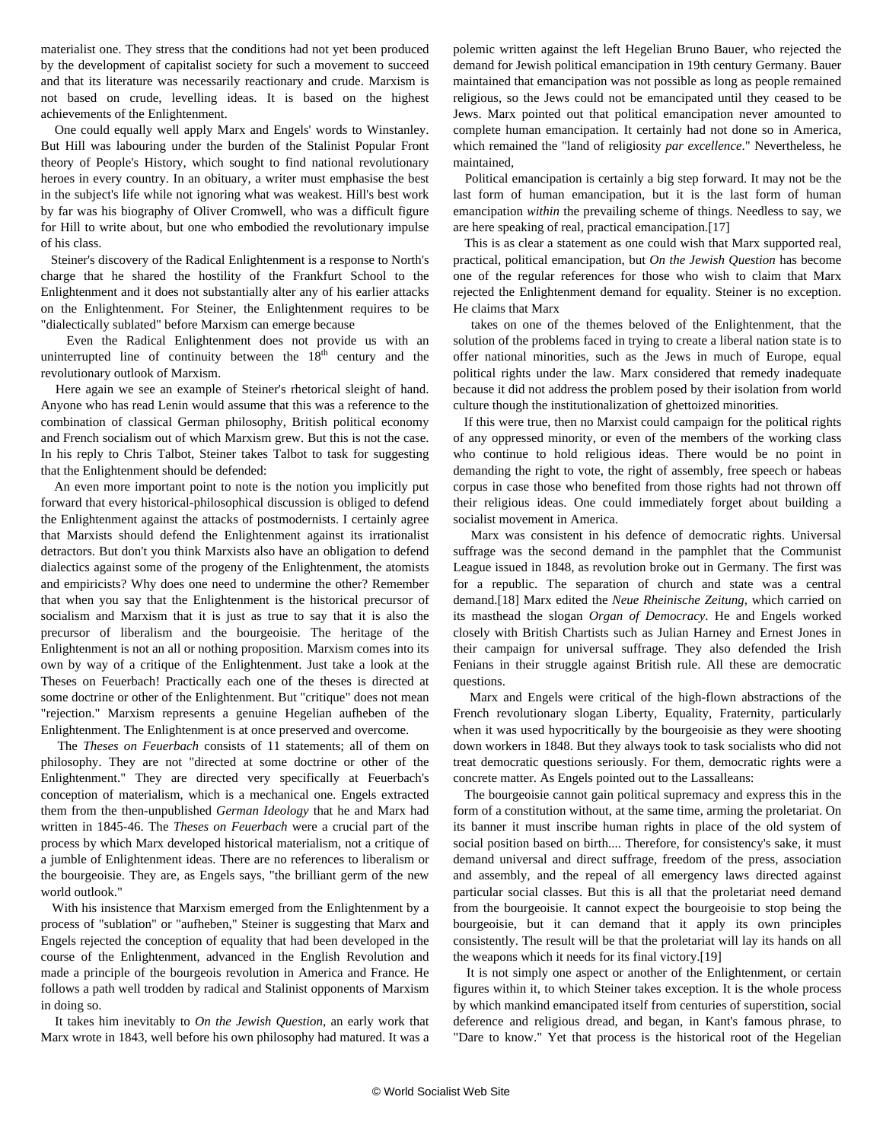<span id="page-5-0"></span>materialist one. They stress that the conditions had not yet been produced by the development of capitalist society for such a movement to succeed and that its literature was necessarily reactionary and crude. Marxism is not based on crude, levelling ideas. It is based on the highest achievements of the Enlightenment.

 One could equally well apply Marx and Engels' words to Winstanley. But Hill was labouring under the burden of the Stalinist Popular Front theory of People's History, which sought to find national revolutionary heroes in every country. In an obituary, a writer must emphasise the best in the subject's life while not ignoring what was weakest. Hill's best work by far was his biography of Oliver Cromwell, who was a difficult figure for Hill to write about, but one who embodied the revolutionary impulse of his class.

 Steiner's discovery of the Radical Enlightenment is a response to North's charge that he shared the hostility of the Frankfurt School to the Enlightenment and it does not substantially alter any of his earlier attacks on the Enlightenment. For Steiner, the Enlightenment requires to be "dialectically sublated" before Marxism can emerge because

 Even the Radical Enlightenment does not provide us with an uninterrupted line of continuity between the  $18<sup>th</sup>$  century and the revolutionary outlook of Marxism.

 Here again we see an example of Steiner's rhetorical sleight of hand. Anyone who has read Lenin would assume that this was a reference to the combination of classical German philosophy, British political economy and French socialism out of which Marxism grew. But this is not the case. In his reply to Chris Talbot, Steiner takes Talbot to task for suggesting that the Enlightenment should be defended:

 An even more important point to note is the notion you implicitly put forward that every historical-philosophical discussion is obliged to defend the Enlightenment against the attacks of postmodernists. I certainly agree that Marxists should defend the Enlightenment against its irrationalist detractors. But don't you think Marxists also have an obligation to defend dialectics against some of the progeny of the Enlightenment, the atomists and empiricists? Why does one need to undermine the other? Remember that when you say that the Enlightenment is the historical precursor of socialism and Marxism that it is just as true to say that it is also the precursor of liberalism and the bourgeoisie. The heritage of the Enlightenment is not an all or nothing proposition. Marxism comes into its own by way of a critique of the Enlightenment. Just take a look at the Theses on Feuerbach! Practically each one of the theses is directed at some doctrine or other of the Enlightenment. But "critique" does not mean "rejection." Marxism represents a genuine Hegelian aufheben of the Enlightenment. The Enlightenment is at once preserved and overcome.

 The *Theses on Feuerbach* consists of 11 statements; all of them on philosophy. They are not "directed at some doctrine or other of the Enlightenment." They are directed very specifically at Feuerbach's conception of materialism, which is a mechanical one. Engels extracted them from the then-unpublished *German Ideology* that he and Marx had written in 1845-46. The *Theses on Feuerbach* were a crucial part of the process by which Marx developed historical materialism, not a critique of a jumble of Enlightenment ideas. There are no references to liberalism or the bourgeoisie. They are, as Engels says, "the brilliant germ of the new world outlook."

 With his insistence that Marxism emerged from the Enlightenment by a process of "sublation" or "aufheben," Steiner is suggesting that Marx and Engels rejected the conception of equality that had been developed in the course of the Enlightenment, advanced in the English Revolution and made a principle of the bourgeois revolution in America and France. He follows a path well trodden by radical and Stalinist opponents of Marxism in doing so.

 It takes him inevitably to *On the Jewish Question*, an early work that Marx wrote in 1843, well before his own philosophy had matured. It was a

polemic written against the left Hegelian Bruno Bauer, who rejected the demand for Jewish political emancipation in 19th century Germany. Bauer maintained that emancipation was not possible as long as people remained religious, so the Jews could not be emancipated until they ceased to be Jews. Marx pointed out that political emancipation never amounted to complete human emancipation. It certainly had not done so in America, which remained the "land of religiosity *par excellence*." Nevertheless, he maintained,

 Political emancipation is certainly a big step forward. It may not be the last form of human emancipation, but it is the last form of human emancipation *within* the prevailing scheme of things. Needless to say, we are here speaking of real, practical emancipation.[17]

 This is as clear a statement as one could wish that Marx supported real, practical, political emancipation, but *On the Jewish Question* has become one of the regular references for those who wish to claim that Marx rejected the Enlightenment demand for equality. Steiner is no exception. He claims that Marx

 takes on one of the themes beloved of the Enlightenment, that the solution of the problems faced in trying to create a liberal nation state is to offer national minorities, such as the Jews in much of Europe, equal political rights under the law. Marx considered that remedy inadequate because it did not address the problem posed by their isolation from world culture though the institutionalization of ghettoized minorities.

 If this were true, then no Marxist could campaign for the political rights of any oppressed minority, or even of the members of the working class who continue to hold religious ideas. There would be no point in demanding the right to vote, the right of assembly, free speech or habeas corpus in case those who benefited from those rights had not thrown off their religious ideas. One could immediately forget about building a socialist movement in America.

 Marx was consistent in his defence of democratic rights. Universal suffrage was the second demand in the pamphlet that the Communist League issued in 1848, as revolution broke out in Germany. The first was for a republic. The separation of church and state was a central demand.[18] Marx edited the *Neue Rheinische Zeitung*, which carried on its masthead the slogan *Organ of Democracy*. He and Engels worked closely with British Chartists such as Julian Harney and Ernest Jones in their campaign for universal suffrage. They also defended the Irish Fenians in their struggle against British rule. All these are democratic questions.

 Marx and Engels were critical of the high-flown abstractions of the French revolutionary slogan Liberty, Equality, Fraternity, particularly when it was used hypocritically by the bourgeoisie as they were shooting down workers in 1848. But they always took to task socialists who did not treat democratic questions seriously. For them, democratic rights were a concrete matter. As Engels pointed out to the Lassalleans:

 The bourgeoisie cannot gain political supremacy and express this in the form of a constitution without, at the same time, arming the proletariat. On its banner it must inscribe human rights in place of the old system of social position based on birth.... Therefore, for consistency's sake, it must demand universal and direct suffrage, freedom of the press, association and assembly, and the repeal of all emergency laws directed against particular social classes. But this is all that the proletariat need demand from the bourgeoisie. It cannot expect the bourgeoisie to stop being the bourgeoisie, but it can demand that it apply its own principles consistently. The result will be that the proletariat will lay its hands on all the weapons which it needs for its final victory.[19]

 It is not simply one aspect or another of the Enlightenment, or certain figures within it, to which Steiner takes exception. It is the whole process by which mankind emancipated itself from centuries of superstition, social deference and religious dread, and began, in Kant's famous phrase, to "Dare to know." Yet that process is the historical root of the Hegelian